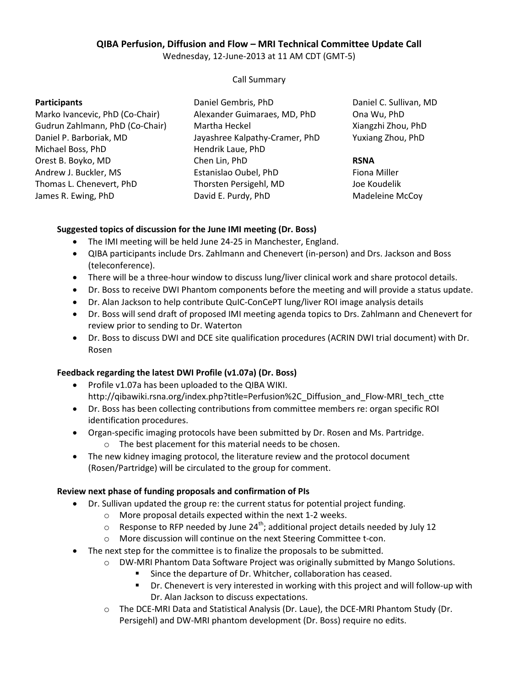# **QIBA Perfusion, Diffusion and Flow – MRI Technical Committee Update Call**

Wednesday, 12-June-2013 at 11 AM CDT (GMT-5)

#### Call Summary

#### **Participants**

- Marko Ivancevic, PhD (Co-Chair) Gudrun Zahlmann, PhD (Co-Chair) Daniel P. Barboriak, MD Michael Boss, PhD Orest B. Boyko, MD Andrew J. Buckler, MS Thomas L. Chenevert, PhD James R. Ewing, PhD
- Daniel Gembris, PhD Alexander Guimaraes, MD, PhD Martha Heckel Jayashree Kalpathy-Cramer, PhD Hendrik Laue, PhD Chen Lin, PhD Estanislao Oubel, PhD Thorsten Persigehl, MD David E. Purdy, PhD

Daniel C. Sullivan, MD Ona Wu, PhD Xiangzhi Zhou, PhD Yuxiang Zhou, PhD

## **RSNA**

Fiona Miller Joe Koudelik Madeleine McCoy

## **Suggested topics of discussion for the June IMI meeting (Dr. Boss)**

- The IMI meeting will be held June 24-25 in Manchester, England.
- QIBA participants include Drs. Zahlmann and Chenevert (in-person) and Drs. Jackson and Boss (teleconference).
- There will be a three-hour window to discuss lung/liver clinical work and share protocol details.
- Dr. Boss to receive DWI Phantom components before the meeting and will provide a status update.
- Dr. Alan Jackson to help contribute QuIC-ConCePT lung/liver ROI image analysis details
- Dr. Boss will send draft of proposed IMI meeting agenda topics to Drs. Zahlmann and Chenevert for review prior to sending to Dr. Waterton
- Dr. Boss to discuss DWI and DCE site qualification procedures (ACRIN DWI trial document) with Dr. Rosen

#### **Feedback regarding the latest DWI Profile (v1.07a) (Dr. Boss)**

- Profile v1.07a has been uploaded to the QIBA WIKI. http://qibawiki.rsna.org/index.php?title=Perfusion%2C\_Diffusion\_and\_Flow-MRI\_tech\_ctte
- Dr. Boss has been collecting contributions from committee members re: organ specific ROI identification procedures.
- Organ-specific imaging protocols have been submitted by Dr. Rosen and Ms. Partridge.
	- o The best placement for this material needs to be chosen.
- The new kidney imaging protocol, the literature review and the protocol document (Rosen/Partridge) will be circulated to the group for comment.

## **Review next phase of funding proposals and confirmation of PIs**

- Dr. Sullivan updated the group re: the current status for potential project funding.
	- o More proposal details expected within the next 1-2 weeks.
	- $\circ$  Response to RFP needed by June 24<sup>th</sup>; additional project details needed by July 12
	- o More discussion will continue on the next Steering Committee t-con.
- The next step for the committee is to finalize the proposals to be submitted.
	- o DW-MRI Phantom Data Software Project was originally submitted by Mango Solutions.
		- Since the departure of Dr. Whitcher, collaboration has ceased.
		- Dr. Chenevert is very interested in working with this project and will follow-up with Dr. Alan Jackson to discuss expectations.
	- o The DCE-MRI Data and Statistical Analysis (Dr. Laue), the DCE-MRI Phantom Study (Dr. Persigehl) and DW-MRI phantom development (Dr. Boss) require no edits.